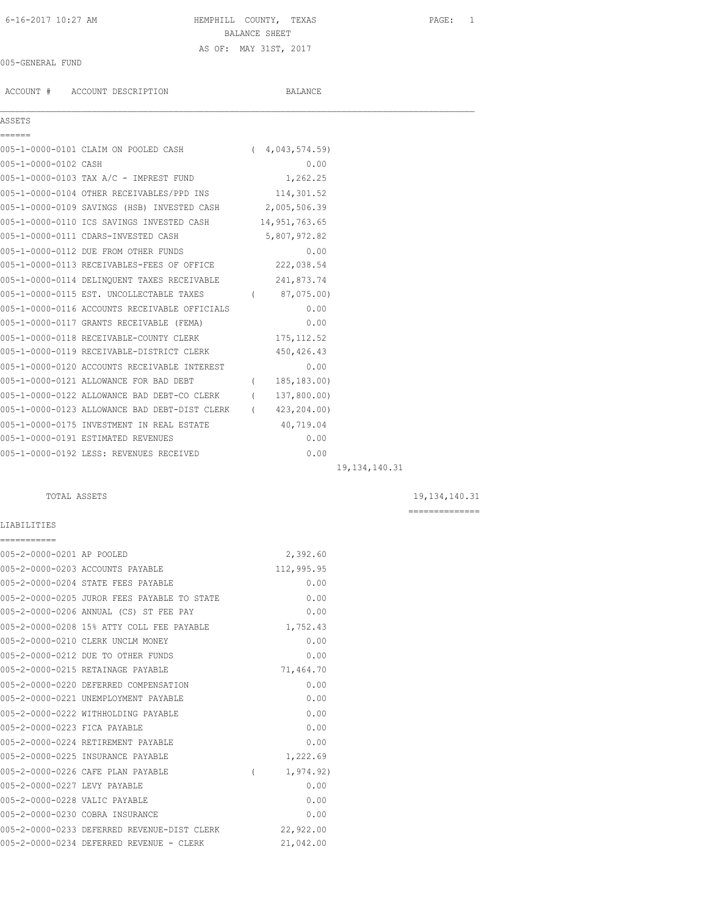## 6-16-2017 10:27 AM HEMPHILL COUNTY, TEXAS PAGE: 1 BALANCE SHEET AS OF: MAY 31ST, 2017

#### 005-GENERAL FUND

ACCOUNT # ACCOUNT DESCRIPTION BALANCE

### ASSETS ======

 $\mathcal{L}_\mathcal{L} = \mathcal{L}_\mathcal{L}$ 

|                      | 005-1-0000-0101 CLAIM ON POOLED CASH        | 4,043,574.59) |
|----------------------|---------------------------------------------|---------------|
| 005-1-0000-0102 CASH |                                             | 0.00          |
|                      | 005-1-0000-0103 TAX A/C - IMPREST FUND      | 1,262.25      |
|                      | 005-1-0000-0104 OTHER RECEIVABLES/PPD INS   | 114,301.52    |
|                      | 005-1-0000-0109 SAVINGS (HSB) INVESTED CASH | 2,005,506.39  |
|                      | 005-1-0000-0110 ICS SAVINGS INVESTED CASH   | 14,951,763.65 |
|                      | 005-1-0000-0111 CDARS-INVESTED CASH         | 5,807,972.82  |
|                      |                                             |               |

| 005-1-0000-0112 DUE FROM OTHER FUNDS          |                  | 0.00         |  |
|-----------------------------------------------|------------------|--------------|--|
| 005-1-0000-0113 RECEIVABLES-FEES OF OFFICE    |                  | 222,038.54   |  |
| 005-1-0000-0114 DELINOUENT TAXES RECEIVABLE   |                  | 241,873.74   |  |
| 005-1-0000-0115 EST. UNCOLLECTABLE TAXES      |                  | 87,075.00)   |  |
| 005-1-0000-0116 ACCOUNTS RECEIVABLE OFFICIALS |                  | 0.00         |  |
| 005-1-0000-0117 GRANTS RECEIVABLE (FEMA)      |                  | 0.00         |  |
| 005-1-0000-0118 RECEIVABLE-COUNTY CLERK       |                  | 175, 112.52  |  |
| 005-1-0000-0119 RECEIVABLE-DISTRICT CLERK     |                  | 450, 426.43  |  |
| 005-1-0000-0120 ACCOUNTS RECEIVABLE INTEREST  |                  | 0.00         |  |
| 005-1-0000-0121 ALLOWANCE FOR BAD DEBT        | $\overline{(\ }$ | 185, 183.00) |  |
| 005-1-0000-0122 ALLOWANCE BAD DEBT-CO CLERK   | $\overline{(\ }$ | 137,800.00)  |  |
| 005-1-0000-0123 ALLOWANCE BAD DEBT-DIST CLERK | $\left($         | 423,204.00)  |  |
| 005-1-0000-0175 INVESTMENT IN REAL ESTATE     |                  | 40,719.04    |  |
| 005-1-0000-0191 ESTIMATED REVENUES            |                  | 0.00         |  |
| 005-1-0000-0192 LESS: REVENUES RECEIVED       |                  | 0.00         |  |

TOTAL ASSETS 19,134,140.31

19,134,140.31

==============

# LIABILITIES

| ===========                   |                                             |          |            |
|-------------------------------|---------------------------------------------|----------|------------|
| 005-2-0000-0201 AP POOLED     |                                             |          | 2,392.60   |
|                               | 005-2-0000-0203 ACCOUNTS PAYABLE            |          | 112,995.95 |
|                               | 005-2-0000-0204 STATE FEES PAYABLE          |          | 0.00       |
|                               | 005-2-0000-0205 JUROR FEES PAYABLE TO STATE |          | 0.00       |
|                               | 005-2-0000-0206 ANNUAL (CS) ST FEE PAY      |          | 0.00       |
|                               | 005-2-0000-0208 15% ATTY COLL FEE PAYABLE   |          | 1,752.43   |
|                               | 005-2-0000-0210 CLERK UNCLM MONEY           |          | 0.00       |
|                               | 005-2-0000-0212 DUE TO OTHER FUNDS          |          | 0.00       |
|                               | 005-2-0000-0215 RETAINAGE PAYABLE           |          | 71,464.70  |
|                               | 005-2-0000-0220 DEFERRED COMPENSATION       |          | 0.00       |
|                               | 005-2-0000-0221 UNEMPLOYMENT PAYABLE        |          | 0.00       |
|                               | 005-2-0000-0222 WITHHOLDING PAYABLE         |          | 0.00       |
| 005-2-0000-0223 FICA PAYABLE  |                                             |          | 0.00       |
|                               | 005-2-0000-0224 RETIREMENT PAYABLE          |          | 0.00       |
|                               | 005-2-0000-0225 INSURANCE PAYABLE           |          | 1,222.69   |
|                               | 005-2-0000-0226 CAFE PLAN PAYABLE           | $\left($ | 1, 974.92) |
| 005-2-0000-0227 LEVY PAYABLE  |                                             |          | 0.00       |
| 005-2-0000-0228 VALIC PAYABLE |                                             |          | 0.00       |
|                               | 005-2-0000-0230 COBRA INSURANCE             |          | 0.00       |
|                               | 005-2-0000-0233 DEFERRED REVENUE-DIST CLERK |          | 22,922.00  |
|                               | 005-2-0000-0234 DEFERRED REVENUE - CLERK    |          | 21,042.00  |
|                               |                                             |          |            |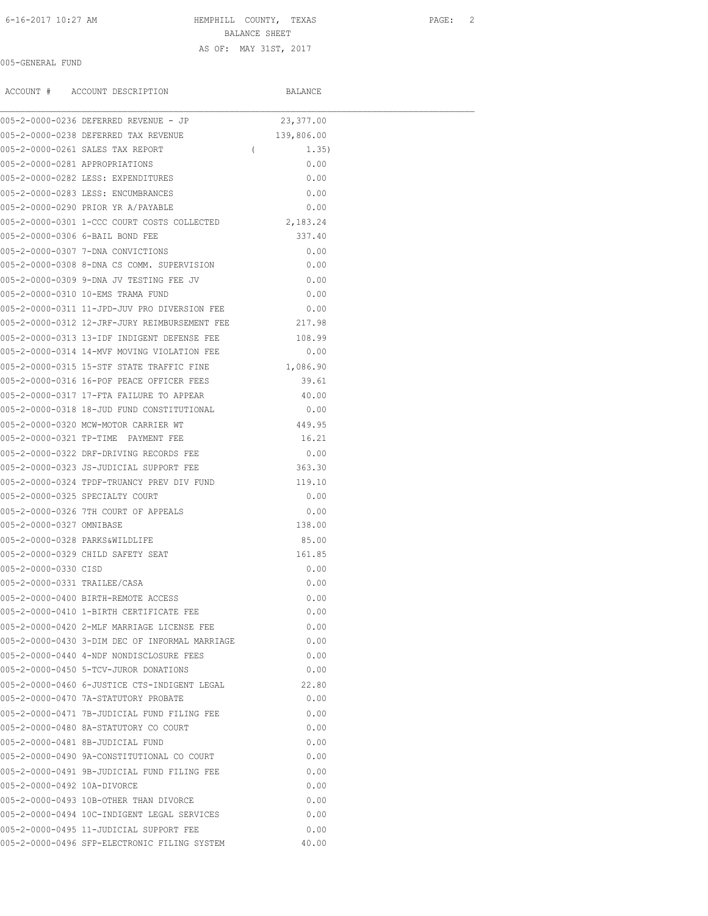## 6-16-2017 10:27 AM HEMPHILL COUNTY, TEXAS PAGE: 2 BALANCE SHEET AS OF: MAY 31ST, 2017

#### 005-GENERAL FUND

ACCOUNT # ACCOUNT DESCRIPTION BALANCE

|                                | 005-2-0000-0236 DEFERRED REVENUE - JP                                         | 23, 377.00              |
|--------------------------------|-------------------------------------------------------------------------------|-------------------------|
|                                | 005-2-0000-0238 DEFERRED TAX REVENUE                                          | 139,806.00              |
|                                | 005-2-0000-0261 SALES TAX REPORT                                              | $\overline{a}$<br>1.35) |
| 005-2-0000-0281 APPROPRIATIONS |                                                                               | 0.00                    |
|                                | 005-2-0000-0282 LESS: EXPENDITURES                                            | 0.00                    |
|                                | 005-2-0000-0283 LESS: ENCUMBRANCES                                            | 0.00                    |
|                                | 005-2-0000-0290 PRIOR YR A/PAYABLE                                            | 0.00                    |
|                                | 005-2-0000-0301 1-CCC COURT COSTS COLLECTED 2,183.24                          |                         |
|                                | 005-2-0000-0306 6-BAIL BOND FEE                                               | 337.40                  |
|                                | 005-2-0000-0307 7-DNA CONVICTIONS                                             | 0.00                    |
|                                | 005-2-0000-0308 8-DNA CS COMM. SUPERVISION                                    | 0.00                    |
|                                | 005-2-0000-0309 9-DNA JV TESTING FEE JV                                       | 0.00                    |
|                                | 005-2-0000-0310 10-EMS TRAMA FUND                                             | 0.00                    |
|                                | 005-2-0000-0311 11-JPD-JUV PRO DIVERSION FEE                                  | 0.00                    |
|                                | 005-2-0000-0312 12-JRF-JURY REIMBURSEMENT FEE 217.98                          |                         |
|                                | 005-2-0000-0313 13-IDF INDIGENT DEFENSE FEE 108.99                            |                         |
|                                | 005-2-0000-0314 14-MVF MOVING VIOLATION FEE                                   | 0.00                    |
|                                | 005-2-0000-0315 15-STF STATE TRAFFIC FINE                                     | 1,086.90                |
|                                | 005-2-0000-0316 16-POF PEACE OFFICER FEES                                     | 39.61                   |
|                                | 005-2-0000-0317 17-FTA FAILURE TO APPEAR                                      | 40.00                   |
|                                | 005-2-0000-0318 18-JUD FUND CONSTITUTIONAL                                    | 0.00                    |
|                                | 005-2-0000-0320 MCW-MOTOR CARRIER WT                                          | 449.95                  |
|                                | 005-2-0000-0321 TP-TIME PAYMENT FEE                                           | 16.21                   |
|                                | 005-2-0000-0322 DRF-DRIVING RECORDS FEE                                       | 0.00                    |
|                                | 005-2-0000-0323 JS-JUDICIAL SUPPORT FEE                                       | 363.30                  |
|                                |                                                                               | 119.10                  |
|                                | 005-2-0000-0324 TPDF-TRUANCY PREV DIV FUND<br>005-2-0000-0325 SPECIALTY COURT | 0.00                    |
|                                | 005-2-0000-0326 7TH COURT OF APPEALS                                          | 0.00                    |
| 005-2-0000-0327 OMNIBASE       |                                                                               | 138.00                  |
|                                |                                                                               |                         |
| 005-2-0000-0328 PARKS&WILDLIFE | 005-2-0000-0329 CHILD SAFETY SEAT                                             | 85.00<br>161.85         |
|                                |                                                                               |                         |
| 005-2-0000-0330 CISD           |                                                                               | 0.00                    |
| 005-2-0000-0331 TRAILEE/CASA   |                                                                               | 0.00                    |
|                                | 005-2-0000-0400 BIRTH-REMOTE ACCESS                                           | 0.00                    |
|                                | 005-2-0000-0410 1-BIRTH CERTIFICATE FEE                                       | 0.00                    |
|                                | 005-2-0000-0420 2-MLF MARRIAGE LICENSE FEE                                    | 0.00                    |
|                                | 005-2-0000-0430 3-DIM DEC OF INFORMAL MARRIAGE                                | 0.00                    |
|                                | 005-2-0000-0440 4-NDF NONDISCLOSURE FEES                                      | 0.00                    |
|                                | 005-2-0000-0450 5-TCV-JUROR DONATIONS                                         | 0.00                    |
|                                | 005-2-0000-0460 6-JUSTICE CTS-INDIGENT LEGAL                                  | 22.80                   |
|                                | 005-2-0000-0470 7A-STATUTORY PROBATE                                          | 0.00                    |
|                                | 005-2-0000-0471 7B-JUDICIAL FUND FILING FEE                                   | 0.00                    |
|                                | 005-2-0000-0480 8A-STATUTORY CO COURT                                         | 0.00                    |
|                                | 005-2-0000-0481 8B-JUDICIAL FUND                                              | 0.00                    |
|                                | 005-2-0000-0490 9A-CONSTITUTIONAL CO COURT                                    | 0.00                    |
|                                | 005-2-0000-0491 9B-JUDICIAL FUND FILING FEE                                   | 0.00                    |
| 005-2-0000-0492 10A-DIVORCE    |                                                                               | 0.00                    |
|                                | 005-2-0000-0493 10B-OTHER THAN DIVORCE                                        | 0.00                    |
|                                | 005-2-0000-0494 10C-INDIGENT LEGAL SERVICES                                   | 0.00                    |
|                                | 005-2-0000-0495 11-JUDICIAL SUPPORT FEE                                       | 0.00                    |
|                                | 005-2-0000-0496 SFP-ELECTRONIC FILING SYSTEM                                  | 40.00                   |
|                                |                                                                               |                         |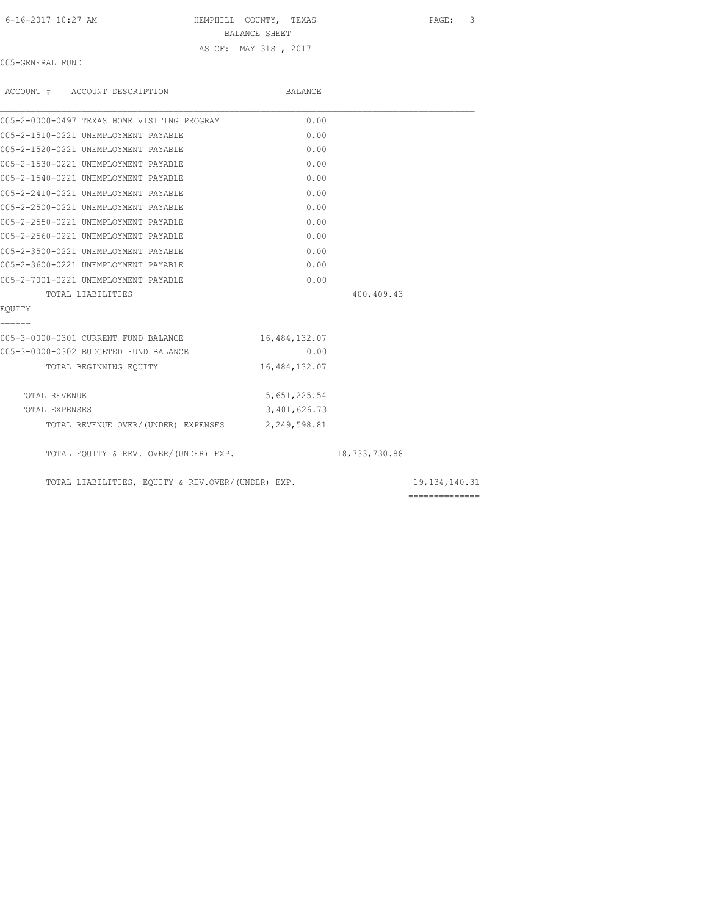### 6-16-2017 10:27 AM HEMPHILL COUNTY, TEXAS PAGE: 3 BALANCE SHEET AS OF: MAY 31ST, 2017

005-GENERAL FUND

| ACCOUNT # ACCOUNT DESCRIPTION                     | BALANCE       |               |                                    |
|---------------------------------------------------|---------------|---------------|------------------------------------|
| 005-2-0000-0497 TEXAS HOME VISITING PROGRAM       | 0.00          |               |                                    |
| 005-2-1510-0221 UNEMPLOYMENT PAYABLE              | 0.00          |               |                                    |
| 005-2-1520-0221 UNEMPLOYMENT PAYABLE              | 0.00          |               |                                    |
| 005-2-1530-0221 UNEMPLOYMENT PAYABLE              | 0.00          |               |                                    |
| 005-2-1540-0221 UNEMPLOYMENT PAYABLE              | 0.00          |               |                                    |
| 005-2-2410-0221 UNEMPLOYMENT PAYABLE              | 0.00          |               |                                    |
| 005-2-2500-0221 UNEMPLOYMENT PAYABLE              | 0.00          |               |                                    |
| 005-2-2550-0221 UNEMPLOYMENT PAYABLE              | 0.00          |               |                                    |
| 005-2-2560-0221 UNEMPLOYMENT PAYABLE              | 0.00          |               |                                    |
| 005-2-3500-0221 UNEMPLOYMENT PAYABLE              | 0.00          |               |                                    |
| 005-2-3600-0221 UNEMPLOYMENT PAYABLE              | 0.00          |               |                                    |
| 005-2-7001-0221 UNEMPLOYMENT PAYABLE              | 0.00          |               |                                    |
| TOTAL LIABILITIES                                 |               | 400,409.43    |                                    |
| EOUITY                                            |               |               |                                    |
| ======                                            |               |               |                                    |
| 005-3-0000-0301 CURRENT FUND BALANCE              | 16,484,132.07 |               |                                    |
| 005-3-0000-0302 BUDGETED FUND BALANCE             | 0.00          |               |                                    |
| TOTAL BEGINNING EQUITY                            | 16,484,132.07 |               |                                    |
| TOTAL REVENUE                                     | 5,651,225.54  |               |                                    |
| TOTAL EXPENSES                                    | 3,401,626.73  |               |                                    |
| TOTAL REVENUE OVER/(UNDER) EXPENSES 2,249,598.81  |               |               |                                    |
| TOTAL EQUITY & REV. OVER/(UNDER) EXP.             |               | 18,733,730.88 |                                    |
| TOTAL LIABILITIES, EQUITY & REV.OVER/(UNDER) EXP. |               |               | 19, 134, 140. 31<br>============== |
|                                                   |               |               |                                    |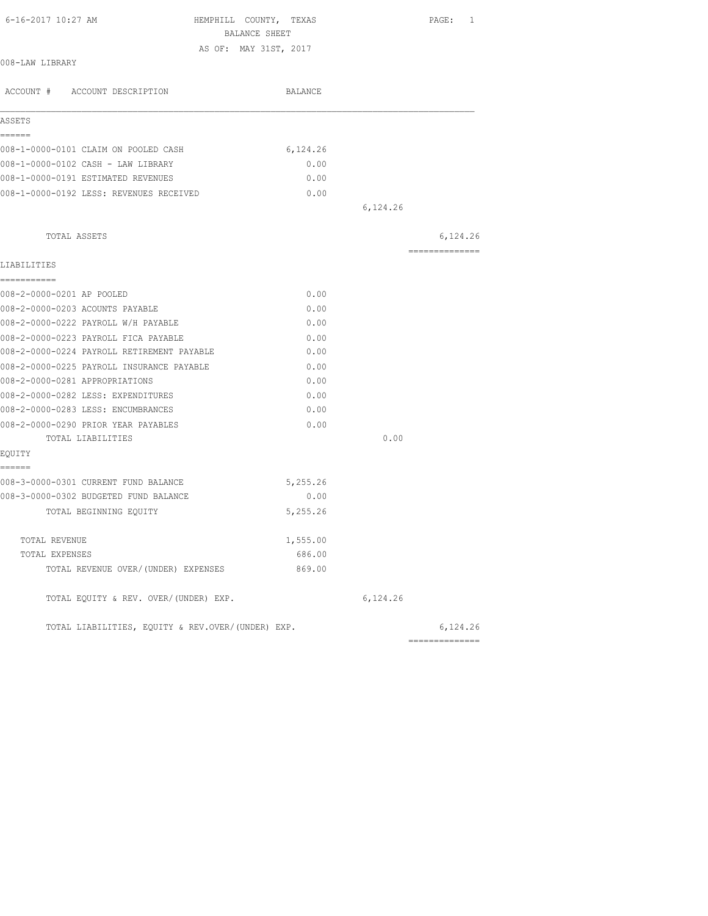| 6-16-2017 10:27 AM                                | HEMPHILL COUNTY, TEXAS<br>BALANCE SHEET |          | PAGE: 1        |
|---------------------------------------------------|-----------------------------------------|----------|----------------|
|                                                   | AS OF: MAY 31ST, 2017                   |          |                |
| 008-LAW LIBRARY                                   |                                         |          |                |
| ACCOUNT # ACCOUNT DESCRIPTION                     | BALANCE                                 |          |                |
| ASSETS                                            |                                         |          |                |
| ======<br>008-1-0000-0101 CLAIM ON POOLED CASH    | 6,124.26                                |          |                |
| 008-1-0000-0102 CASH - LAW LIBRARY                | 0.00                                    |          |                |
| 008-1-0000-0191 ESTIMATED REVENUES                | 0.00                                    |          |                |
| 008-1-0000-0192 LESS: REVENUES RECEIVED           | 0.00                                    |          |                |
|                                                   |                                         | 6,124.26 |                |
| TOTAL ASSETS                                      |                                         |          | 6,124.26       |
| LIABILITIES                                       |                                         |          | ============== |
| -----------                                       |                                         |          |                |
| 008-2-0000-0201 AP POOLED                         | 0.00                                    |          |                |
| 008-2-0000-0203 ACOUNTS PAYABLE                   | 0.00                                    |          |                |
| 008-2-0000-0222 PAYROLL W/H PAYABLE               | 0.00                                    |          |                |
| 008-2-0000-0223 PAYROLL FICA PAYABLE              | 0.00                                    |          |                |
| 008-2-0000-0224 PAYROLL RETIREMENT PAYABLE        | 0.00                                    |          |                |
| 008-2-0000-0225 PAYROLL INSURANCE PAYABLE         | 0.00                                    |          |                |
| 008-2-0000-0281 APPROPRIATIONS                    | 0.00                                    |          |                |
| 008-2-0000-0282 LESS: EXPENDITURES                | 0.00                                    |          |                |
| 008-2-0000-0283 LESS: ENCUMBRANCES                | 0.00                                    |          |                |
| 008-2-0000-0290 PRIOR YEAR PAYABLES               | 0.00                                    |          |                |
| TOTAL LIABILITIES                                 |                                         | 0.00     |                |
| EQUITY<br>======                                  |                                         |          |                |
| 008-3-0000-0301 CURRENT FUND BALANCE              | 5,255.26                                |          |                |
| 008-3-0000-0302 BUDGETED FUND BALANCE             | 0.00                                    |          |                |
| TOTAL BEGINNING EQUITY                            | 5,255.26                                |          |                |
| TOTAL REVENUE                                     | 1,555.00                                |          |                |
| TOTAL EXPENSES                                    | 686.00                                  |          |                |
| TOTAL REVENUE OVER/(UNDER) EXPENSES               | 869.00                                  |          |                |
| TOTAL EQUITY & REV. OVER/(UNDER) EXP.             |                                         | 6,124.26 |                |
| TOTAL LIABILITIES, EQUITY & REV.OVER/(UNDER) EXP. |                                         |          | 6,124.26       |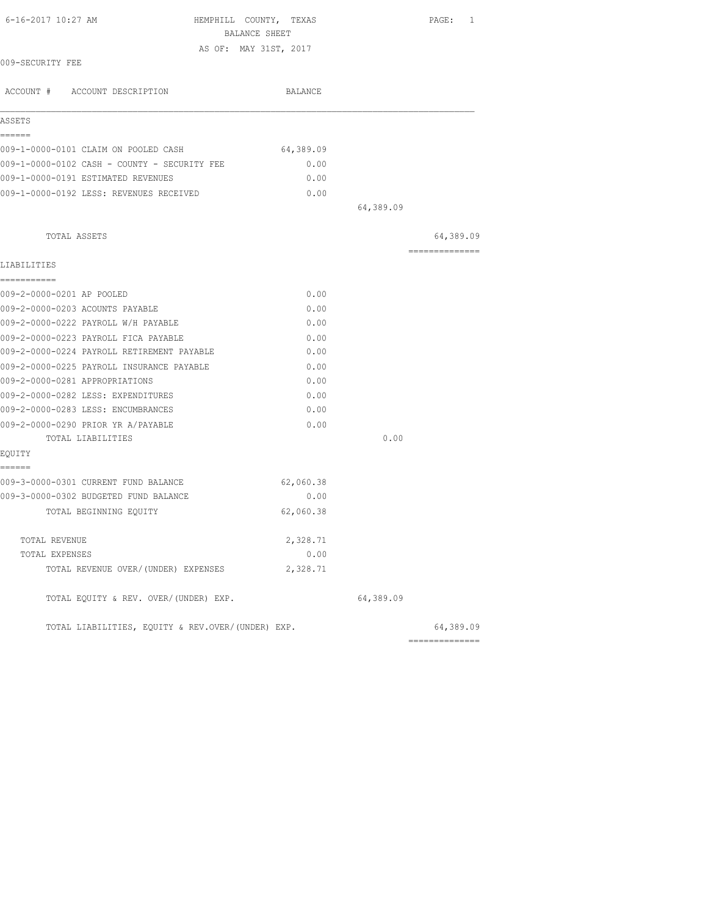| 6-16-2017 10:27 AM<br>HEMPHILL COUNTY, TEXAS<br>BALANCE SHEET |           |           | PAGE: 1         |
|---------------------------------------------------------------|-----------|-----------|-----------------|
| AS OF: MAY 31ST, 2017                                         |           |           |                 |
| 009-SECURITY FEE                                              |           |           |                 |
| ACCOUNT # ACCOUNT DESCRIPTION                                 | BALANCE   |           |                 |
| ASSETS                                                        |           |           |                 |
| ======<br>009-1-0000-0101 CLAIM ON POOLED CASH                | 64,389.09 |           |                 |
| 009-1-0000-0102 CASH - COUNTY - SECURITY FEE                  | 0.00      |           |                 |
| 009-1-0000-0191 ESTIMATED REVENUES                            | 0.00      |           |                 |
| 009-1-0000-0192 LESS: REVENUES RECEIVED                       | 0.00      |           |                 |
|                                                               |           | 64,389.09 |                 |
| TOTAL ASSETS                                                  |           |           | 64,389.09       |
| LIABILITIES                                                   |           |           | =============== |
| -----------                                                   |           |           |                 |
| 009-2-0000-0201 AP POOLED                                     | 0.00      |           |                 |
| 009-2-0000-0203 ACOUNTS PAYABLE                               | 0.00      |           |                 |
| 009-2-0000-0222 PAYROLL W/H PAYABLE                           | 0.00      |           |                 |
| 009-2-0000-0223 PAYROLL FICA PAYABLE                          | 0.00      |           |                 |
| 009-2-0000-0224 PAYROLL RETIREMENT PAYABLE                    | 0.00      |           |                 |
| 009-2-0000-0225 PAYROLL INSURANCE PAYABLE                     | 0.00      |           |                 |
| 009-2-0000-0281 APPROPRIATIONS                                | 0.00      |           |                 |
| 009-2-0000-0282 LESS: EXPENDITURES                            | 0.00      |           |                 |
| 009-2-0000-0283 LESS: ENCUMBRANCES                            | 0.00      |           |                 |
| 009-2-0000-0290 PRIOR YR A/PAYABLE                            | 0.00      |           |                 |
| TOTAL LIABILITIES                                             |           | 0.00      |                 |
| EQUITY<br>======                                              |           |           |                 |
| 009-3-0000-0301 CURRENT FUND BALANCE                          | 62,060.38 |           |                 |
| 009-3-0000-0302 BUDGETED FUND BALANCE                         | 0.00      |           |                 |
| TOTAL BEGINNING EQUITY                                        | 62,060.38 |           |                 |
| TOTAL REVENUE                                                 | 2,328.71  |           |                 |
| TOTAL EXPENSES                                                | 0.00      |           |                 |
| TOTAL REVENUE OVER/(UNDER) EXPENSES                           | 2,328.71  |           |                 |
| TOTAL EQUITY & REV. OVER/(UNDER) EXP.                         |           | 64,389.09 |                 |
| TOTAL LIABILITIES, EOUITY & REV.OVER/(UNDER) EXP.             |           |           | 64,389.09       |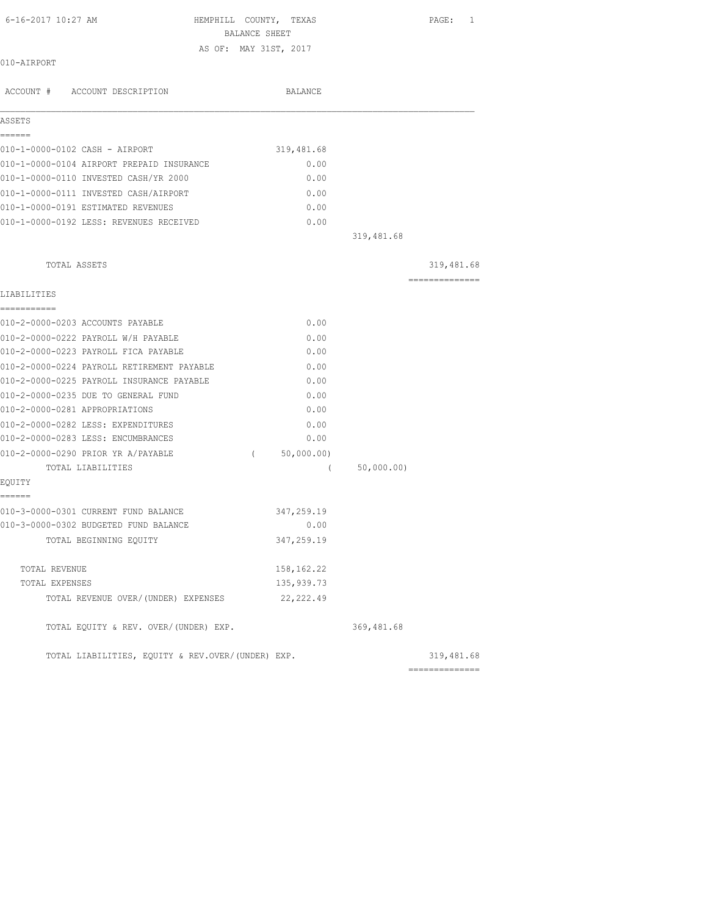| 6-16-2017 10:27 AM |                               | HEMPHILL COUNTY,      | TEXAS   | PAGE: |  |
|--------------------|-------------------------------|-----------------------|---------|-------|--|
|                    |                               | BALANCE SHEET         |         |       |  |
|                    |                               | AS OF: MAY 31ST, 2017 |         |       |  |
| 010-AIRPORT        |                               |                       |         |       |  |
|                    |                               |                       |         |       |  |
|                    | ACCOUNT # ACCOUNT DESCRIPTION |                       | BALANCE |       |  |
|                    |                               |                       |         |       |  |

| Q.<br>÷. |  |
|----------|--|
|          |  |

| 010-1-0000-0102 CASH - AIRPORT |                                           | 319,481.68 |  |
|--------------------------------|-------------------------------------------|------------|--|
|                                | 010-1-0000-0104 AIRPORT PREPAID INSURANCE | 0.00       |  |
|                                | 010-1-0000-0110 INVESTED CASH/YR 2000     | 0.00       |  |
|                                | 010-1-0000-0111 INVESTED CASH/AIRPORT     | 0.00       |  |
|                                | 010-1-0000-0191 ESTIMATED REVENUES        | 0.00       |  |
|                                | 010-1-0000-0192 LESS: REVENUES RECEIVED   | 0.00       |  |

|                                                   |          |             | 319,481.68  |                |
|---------------------------------------------------|----------|-------------|-------------|----------------|
| TOTAL ASSETS                                      |          |             |             | 319,481.68     |
| LIABILITIES                                       |          |             |             | ============== |
| ===========                                       |          |             |             |                |
| 010-2-0000-0203 ACCOUNTS PAYABLE                  |          | 0.00        |             |                |
| 010-2-0000-0222 PAYROLL W/H PAYABLE               |          | 0.00        |             |                |
| 010-2-0000-0223 PAYROLL FICA PAYABLE              |          | 0.00        |             |                |
| 010-2-0000-0224 PAYROLL RETIREMENT PAYABLE        |          | 0.00        |             |                |
| 010-2-0000-0225 PAYROLL INSURANCE PAYABLE         |          | 0.00        |             |                |
| 010-2-0000-0235 DUE TO GENERAL FUND               |          | 0.00        |             |                |
| 010-2-0000-0281 APPROPRIATIONS                    |          | 0.00        |             |                |
| 010-2-0000-0282 LESS: EXPENDITURES                |          | 0.00        |             |                |
| 010-2-0000-0283 LESS: ENCUMBRANCES                |          | 0.00        |             |                |
| 010-2-0000-0290 PRIOR YR A/PAYABLE                | $\left($ | 50,000.00)  |             |                |
| TOTAL LIABILITIES                                 |          | $\left($    | 50,000.00)  |                |
| EOUITY                                            |          |             |             |                |
| ======                                            |          |             |             |                |
| 010-3-0000-0301 CURRENT FUND BALANCE              |          | 347,259.19  |             |                |
| 010-3-0000-0302 BUDGETED FUND BALANCE             |          | 0.00        |             |                |
| TOTAL BEGINNING EQUITY                            |          | 347,259.19  |             |                |
| TOTAL REVENUE                                     |          | 158, 162.22 |             |                |
| TOTAL EXPENSES                                    |          | 135,939.73  |             |                |
| TOTAL REVENUE OVER/(UNDER) EXPENSES               |          | 22, 222.49  |             |                |
| TOTAL EQUITY & REV. OVER/(UNDER) EXP.             |          |             | 369, 481.68 |                |
| TOTAL LIABILITIES, EQUITY & REV.OVER/(UNDER) EXP. |          |             |             | 319,481.68     |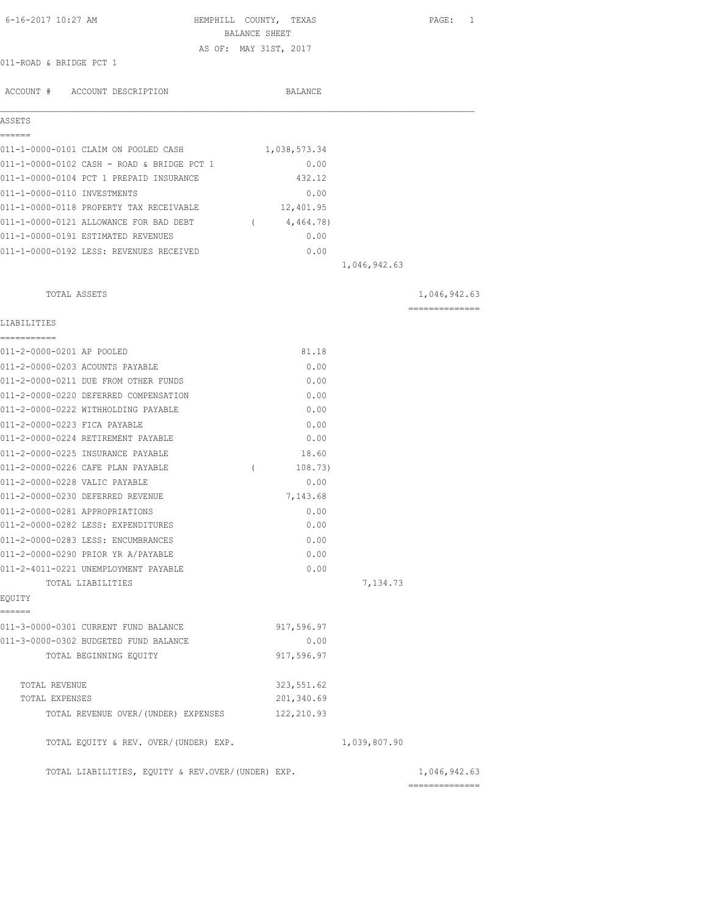| 6-16-2017 10:27 AM<br>HEMPHILL COUNTY, TEXAS      | BALANCE SHEET |              |              | PAGE: 1        |
|---------------------------------------------------|---------------|--------------|--------------|----------------|
| AS OF: MAY 31ST, 2017<br>011-ROAD & BRIDGE PCT 1  |               |              |              |                |
|                                                   |               |              |              |                |
| ACCOUNT # ACCOUNT DESCRIPTION                     |               | BALANCE      |              |                |
| ASSETS<br>======                                  |               |              |              |                |
| 011-1-0000-0101 CLAIM ON POOLED CASH              |               | 1,038,573.34 |              |                |
| 011-1-0000-0102 CASH - ROAD & BRIDGE PCT 1        |               | 0.00         |              |                |
| 011-1-0000-0104 PCT 1 PREPAID INSURANCE           |               | 432.12       |              |                |
| 011-1-0000-0110 INVESTMENTS                       |               | 0.00         |              |                |
| 011-1-0000-0118 PROPERTY TAX RECEIVABLE           |               | 12,401.95    |              |                |
| 011-1-0000-0121 ALLOWANCE FOR BAD DEBT            | $\sqrt{2}$    | 4,464.78)    |              |                |
| 011-1-0000-0191 ESTIMATED REVENUES                |               | 0.00         |              |                |
| 011-1-0000-0192 LESS: REVENUES RECEIVED           |               | 0.00         |              |                |
|                                                   |               |              | 1,046,942.63 |                |
| TOTAL ASSETS                                      |               |              |              | 1,046,942.63   |
|                                                   |               |              |              | ============== |
| LIABILITIES                                       |               |              |              |                |
| ===========<br>011-2-0000-0201 AP POOLED          |               | 81.18        |              |                |
| 011-2-0000-0203 ACOUNTS PAYABLE                   |               | 0.00         |              |                |
| 011-2-0000-0211 DUE FROM OTHER FUNDS              |               | 0.00         |              |                |
| 011-2-0000-0220 DEFERRED COMPENSATION             |               | 0.00         |              |                |
| 011-2-0000-0222 WITHHOLDING PAYABLE               |               | 0.00         |              |                |
| 011-2-0000-0223 FICA PAYABLE                      |               | 0.00         |              |                |
| 011-2-0000-0224 RETIREMENT PAYABLE                |               | 0.00         |              |                |
| 011-2-0000-0225 INSURANCE PAYABLE                 |               | 18.60        |              |                |
| 011-2-0000-0226 CAFE PLAN PAYABLE                 | $\left($      | 108.73)      |              |                |
| 011-2-0000-0228 VALIC PAYABLE                     |               | 0.00         |              |                |
| 011-2-0000-0230 DEFERRED REVENUE                  |               | 7,143.68     |              |                |
| 011-2-0000-0281 APPROPRIATIONS                    |               | 0.00         |              |                |
| 011-2-0000-0282 LESS: EXPENDITURES                |               | 0.00         |              |                |
| 011-2-0000-0283 LESS: ENCUMBRANCES                |               | 0.00         |              |                |
| 011-2-0000-0290 PRIOR YR A/PAYABLE                |               | 0.00         |              |                |
| 011-2-4011-0221 UNEMPLOYMENT PAYABLE              |               | 0.00         |              |                |
| TOTAL LIABILITIES                                 |               |              | 7,134.73     |                |
| EQUITY<br>======                                  |               |              |              |                |
| 011-3-0000-0301 CURRENT FUND BALANCE              |               | 917,596.97   |              |                |
| 011-3-0000-0302 BUDGETED FUND BALANCE             |               | 0.00         |              |                |
| TOTAL BEGINNING EQUITY                            |               | 917,596.97   |              |                |
| TOTAL REVENUE                                     |               | 323, 551.62  |              |                |
| TOTAL EXPENSES                                    |               | 201,340.69   |              |                |
| TOTAL REVENUE OVER/(UNDER) EXPENSES               |               | 122, 210.93  |              |                |
| TOTAL EQUITY & REV. OVER/(UNDER) EXP.             |               |              | 1,039,807.90 |                |
| TOTAL LIABILITIES, EQUITY & REV.OVER/(UNDER) EXP. |               |              |              | 1,046,942.63   |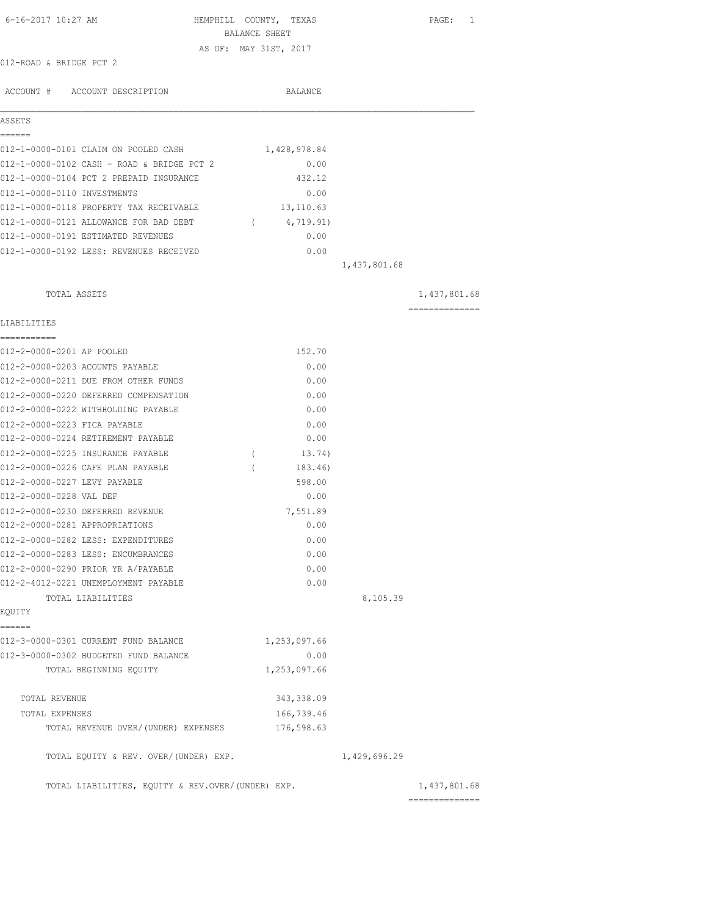| 6-16-2017 10:27 AM                                | HEMPHILL COUNTY, TEXAS | BALANCE SHEET |              | PAGE: 1        |
|---------------------------------------------------|------------------------|---------------|--------------|----------------|
|                                                   | AS OF: MAY 31ST, 2017  |               |              |                |
| 012-ROAD & BRIDGE PCT 2                           |                        |               |              |                |
| ACCOUNT # ACCOUNT DESCRIPTION                     |                        | BALANCE       |              |                |
| ASSETS                                            |                        |               |              |                |
| ======                                            |                        |               |              |                |
| 012-1-0000-0101 CLAIM ON POOLED CASH              |                        | 1,428,978.84  |              |                |
| 012-1-0000-0102 CASH - ROAD & BRIDGE PCT 2        |                        | 0.00          |              |                |
| 012-1-0000-0104 PCT 2 PREPAID INSURANCE           |                        | 432.12        |              |                |
| 012-1-0000-0110 INVESTMENTS                       |                        | 0.00          |              |                |
| 012-1-0000-0118 PROPERTY TAX RECEIVABLE           |                        | 13,110.63     |              |                |
| 012-1-0000-0121 ALLOWANCE FOR BAD DEBT            | $\sqrt{2}$             | 4,719.91)     |              |                |
| 012-1-0000-0191 ESTIMATED REVENUES                |                        | 0.00          |              |                |
| 012-1-0000-0192 LESS: REVENUES RECEIVED           |                        | 0.00          |              |                |
|                                                   |                        |               | 1,437,801.68 |                |
| TOTAL ASSETS                                      |                        |               |              | 1,437,801.68   |
| LIABILITIES                                       |                        |               |              | ============== |
| ------------<br>012-2-0000-0201 AP POOLED         |                        | 152.70        |              |                |
| 012-2-0000-0203 ACOUNTS PAYABLE                   |                        | 0.00          |              |                |
| 012-2-0000-0211 DUE FROM OTHER FUNDS              |                        | 0.00          |              |                |
| 012-2-0000-0220 DEFERRED COMPENSATION             |                        | 0.00          |              |                |
| 012-2-0000-0222 WITHHOLDING PAYABLE               |                        | 0.00          |              |                |
| 012-2-0000-0223 FICA PAYABLE                      |                        | 0.00          |              |                |
| 012-2-0000-0224 RETIREMENT PAYABLE                |                        | 0.00          |              |                |
| 012-2-0000-0225 INSURANCE PAYABLE                 | $\left($               | 13.74)        |              |                |
| 012-2-0000-0226 CAFE PLAN PAYABLE                 | $\left($               | 183.46)       |              |                |
| 012-2-0000-0227 LEVY PAYABLE                      |                        | 598.00        |              |                |
| 012-2-0000-0228 VAL DEF                           |                        | 0.00          |              |                |
| 012-2-0000-0230 DEFERRED REVENUE                  |                        | 7,551.89      |              |                |
| 012-2-0000-0281 APPROPRIATIONS                    |                        | 0.00          |              |                |
| 012-2-0000-0282 LESS: EXPENDITURES                |                        | 0.00          |              |                |
| 012-2-0000-0283 LESS: ENCUMBRANCES                |                        | 0.00          |              |                |
| 012-2-0000-0290 PRIOR YR A/PAYABLE                |                        | 0.00          |              |                |
| 012-2-4012-0221 UNEMPLOYMENT PAYABLE              |                        | 0.00          |              |                |
| TOTAL LIABILITIES                                 |                        |               | 8,105.39     |                |
| EQUITY<br>------                                  |                        |               |              |                |
| 012-3-0000-0301 CURRENT FUND BALANCE              |                        | 1,253,097.66  |              |                |
| 012-3-0000-0302 BUDGETED FUND BALANCE             |                        | 0.00          |              |                |
| TOTAL BEGINNING EQUITY                            |                        | 1,253,097.66  |              |                |
| TOTAL REVENUE                                     |                        | 343, 338.09   |              |                |
| TOTAL EXPENSES                                    |                        | 166,739.46    |              |                |
| TOTAL REVENUE OVER/(UNDER) EXPENSES               |                        | 176,598.63    |              |                |
| TOTAL EQUITY & REV. OVER/(UNDER) EXP.             |                        |               | 1,429,696.29 |                |
| TOTAL LIABILITIES, EQUITY & REV.OVER/(UNDER) EXP. |                        |               |              | 1,437,801.68   |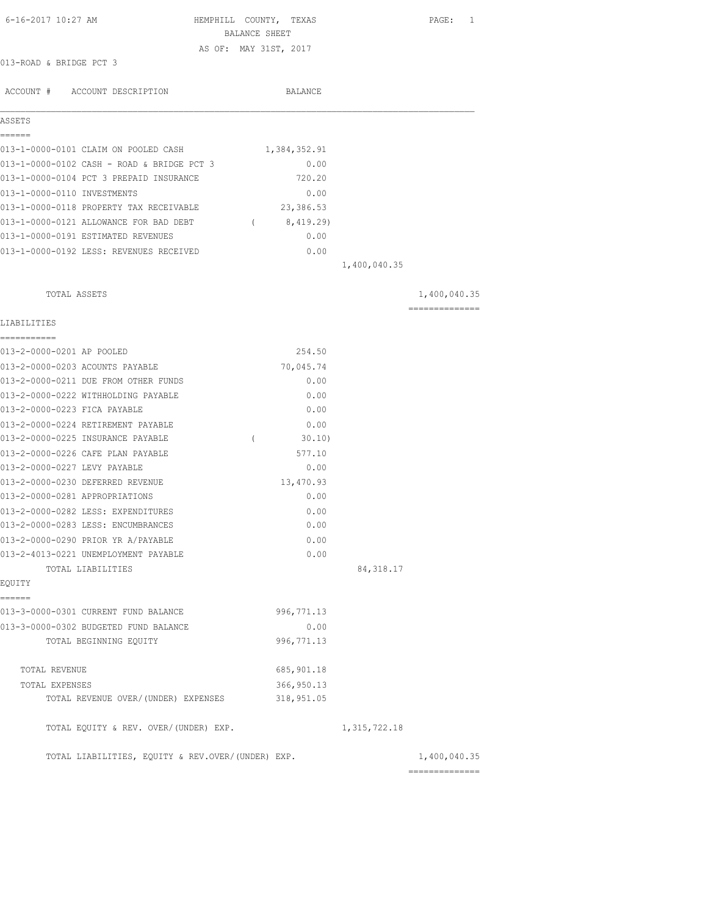| 6-16-2017 10:27 AM                                | HEMPHILL COUNTY, TEXAS<br>BALANCE SHEET |                | PAGE: 1        |
|---------------------------------------------------|-----------------------------------------|----------------|----------------|
|                                                   | AS OF: MAY 31ST, 2017                   |                |                |
| 013-ROAD & BRIDGE PCT 3                           |                                         |                |                |
|                                                   |                                         |                |                |
| ACCOUNT # ACCOUNT DESCRIPTION                     | BALANCE                                 |                |                |
| ASSETS                                            |                                         |                |                |
| ======                                            |                                         |                |                |
| 013-1-0000-0101 CLAIM ON POOLED CASH              | 1,384,352.91                            |                |                |
| 013-1-0000-0102 CASH - ROAD & BRIDGE PCT 3        | 0.00                                    |                |                |
| 013-1-0000-0104 PCT 3 PREPAID INSURANCE           | 720.20                                  |                |                |
| 013-1-0000-0110 INVESTMENTS                       | 0.00                                    |                |                |
| 013-1-0000-0118 PROPERTY TAX RECEIVABLE           | 23,386.53                               |                |                |
| 013-1-0000-0121 ALLOWANCE FOR BAD DEBT            | (8, 419.29)                             |                |                |
| 013-1-0000-0191 ESTIMATED REVENUES                | 0.00                                    |                |                |
| 013-1-0000-0192 LESS: REVENUES RECEIVED           | 0.00                                    |                |                |
|                                                   |                                         | 1,400,040.35   |                |
|                                                   |                                         |                |                |
| TOTAL ASSETS                                      |                                         |                | 1,400,040.35   |
| LIABILITIES                                       |                                         |                | ============== |
| -----------<br>013-2-0000-0201 AP POOLED          | 254.50                                  |                |                |
| 013-2-0000-0203 ACOUNTS PAYABLE                   | 70,045.74                               |                |                |
| 013-2-0000-0211 DUE FROM OTHER FUNDS              | 0.00                                    |                |                |
| 013-2-0000-0222 WITHHOLDING PAYABLE               | 0.00                                    |                |                |
| 013-2-0000-0223 FICA PAYABLE                      | 0.00                                    |                |                |
| 013-2-0000-0224 RETIREMENT PAYABLE                | 0.00                                    |                |                |
| 013-2-0000-0225 INSURANCE PAYABLE                 | $\left($<br>$30.10$ )                   |                |                |
| 013-2-0000-0226 CAFE PLAN PAYABLE                 | 577.10                                  |                |                |
| 013-2-0000-0227 LEVY PAYABLE                      | 0.00                                    |                |                |
| 013-2-0000-0230 DEFERRED REVENUE                  | 13,470.93                               |                |                |
| 013-2-0000-0281 APPROPRIATIONS                    | 0.00                                    |                |                |
| 013-2-0000-0282 LESS: EXPENDITURES                | 0.00                                    |                |                |
| 013-2-0000-0283 LESS: ENCUMBRANCES                | 0.00                                    |                |                |
| 013-2-0000-0290 PRIOR YR A/PAYABLE                | 0.00                                    |                |                |
| 013-2-4013-0221 UNEMPLOYMENT PAYABLE              | 0.00                                    |                |                |
| TOTAL LIABILITIES                                 |                                         | 84, 318.17     |                |
| EQUITY                                            |                                         |                |                |
| ======                                            |                                         |                |                |
| 013-3-0000-0301 CURRENT FUND BALANCE              | 996, 771.13                             |                |                |
| 013-3-0000-0302 BUDGETED FUND BALANCE             | 0.00                                    |                |                |
| TOTAL BEGINNING EQUITY                            | 996, 771.13                             |                |                |
| TOTAL REVENUE                                     | 685, 901.18                             |                |                |
| TOTAL EXPENSES                                    | 366, 950.13                             |                |                |
| TOTAL REVENUE OVER/(UNDER) EXPENSES               | 318,951.05                              |                |                |
| TOTAL EQUITY & REV. OVER/(UNDER) EXP.             |                                         | 1, 315, 722.18 |                |
|                                                   |                                         |                |                |
| TOTAL LIABILITIES, EQUITY & REV.OVER/(UNDER) EXP. |                                         |                | 1,400,040.35   |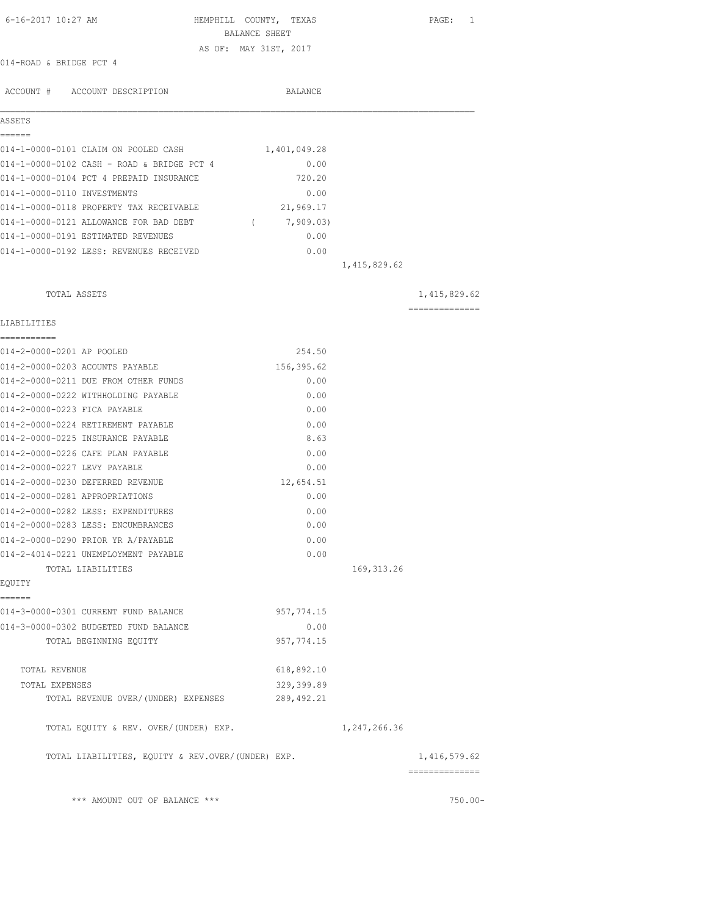| 014-ROAD & BRIDGE PCT 4<br>ACCOUNT # ACCOUNT DESCRIPTION<br>ASSETS<br>------ | BALANCE SHEET<br>AS OF: MAY 31ST, 2017<br>BALANCE<br>1,401,049.28 |              |                 |
|------------------------------------------------------------------------------|-------------------------------------------------------------------|--------------|-----------------|
|                                                                              |                                                                   |              |                 |
|                                                                              |                                                                   |              |                 |
|                                                                              |                                                                   |              |                 |
|                                                                              |                                                                   |              |                 |
|                                                                              |                                                                   |              |                 |
|                                                                              |                                                                   |              |                 |
|                                                                              |                                                                   |              |                 |
| 014-1-0000-0101 CLAIM ON POOLED CASH                                         |                                                                   |              |                 |
| 014-1-0000-0102 CASH - ROAD & BRIDGE PCT 4                                   | 0.00                                                              |              |                 |
| 014-1-0000-0104 PCT 4 PREPAID INSURANCE                                      | 720.20                                                            |              |                 |
| 014-1-0000-0110 INVESTMENTS                                                  | 0.00                                                              |              |                 |
| 014-1-0000-0118 PROPERTY TAX RECEIVABLE                                      | 21,969.17                                                         |              |                 |
| 014-1-0000-0121 ALLOWANCE FOR BAD DEBT (7,909.03)                            |                                                                   |              |                 |
| 014-1-0000-0191 ESTIMATED REVENUES                                           | 0.00                                                              |              |                 |
| 014-1-0000-0192 LESS: REVENUES RECEIVED                                      | 0.00                                                              |              |                 |
|                                                                              |                                                                   | 1,415,829.62 |                 |
|                                                                              |                                                                   |              |                 |
| TOTAL ASSETS                                                                 |                                                                   |              | 1, 415, 829.62  |
| LIABILITIES                                                                  |                                                                   |              | --------------- |
| ------------                                                                 |                                                                   |              |                 |
| 014-2-0000-0201 AP POOLED                                                    | 254.50                                                            |              |                 |
| 014-2-0000-0203 ACOUNTS PAYABLE                                              | 156,395.62                                                        |              |                 |
| 014-2-0000-0211 DUE FROM OTHER FUNDS                                         | 0.00                                                              |              |                 |
| 014-2-0000-0222 WITHHOLDING PAYABLE                                          | 0.00                                                              |              |                 |
| 014-2-0000-0223 FICA PAYABLE                                                 | 0.00                                                              |              |                 |
| 014-2-0000-0224 RETIREMENT PAYABLE                                           | 0.00                                                              |              |                 |
| 014-2-0000-0225 INSURANCE PAYABLE                                            | 8.63                                                              |              |                 |
| 014-2-0000-0226 CAFE PLAN PAYABLE                                            | 0.00                                                              |              |                 |
| 014-2-0000-0227 LEVY PAYABLE                                                 | 0.00                                                              |              |                 |
| 014-2-0000-0230 DEFERRED REVENUE                                             | 12,654.51                                                         |              |                 |
| 014-2-0000-0281 APPROPRIATIONS                                               | 0.00                                                              |              |                 |
| 014-2-0000-0282 LESS: EXPENDITURES                                           | 0.00                                                              |              |                 |
| 014-2-0000-0283 LESS: ENCUMBRANCES                                           | 0.00                                                              |              |                 |
| 014-2-0000-0290 PRIOR YR A/PAYABLE                                           | 0.00                                                              |              |                 |
| 014-2-4014-0221 UNEMPLOYMENT PAYABLE                                         | 0.00                                                              |              |                 |
| TOTAL LIABILITIES                                                            |                                                                   | 169, 313.26  |                 |
| EQUITY                                                                       |                                                                   |              |                 |
| ------                                                                       |                                                                   |              |                 |
| 014-3-0000-0301 CURRENT FUND BALANCE                                         | 957, 774.15                                                       |              |                 |
| 014-3-0000-0302 BUDGETED FUND BALANCE                                        | 0.00                                                              |              |                 |
| TOTAL BEGINNING EQUITY                                                       | 957, 774.15                                                       |              |                 |
|                                                                              |                                                                   |              |                 |
| TOTAL REVENUE                                                                | 618,892.10                                                        |              |                 |
| TOTAL EXPENSES                                                               | 329,399.89                                                        |              |                 |
| TOTAL REVENUE OVER/(UNDER) EXPENSES                                          | 289, 492.21                                                       |              |                 |
| TOTAL EQUITY & REV. OVER/(UNDER) EXP.                                        |                                                                   | 1,247,266.36 |                 |
| TOTAL LIABILITIES, EQUITY & REV.OVER/(UNDER) EXP.                            |                                                                   |              | 1,416,579.62    |

 $***$  AMOUNT OUT OF BALANCE  $***$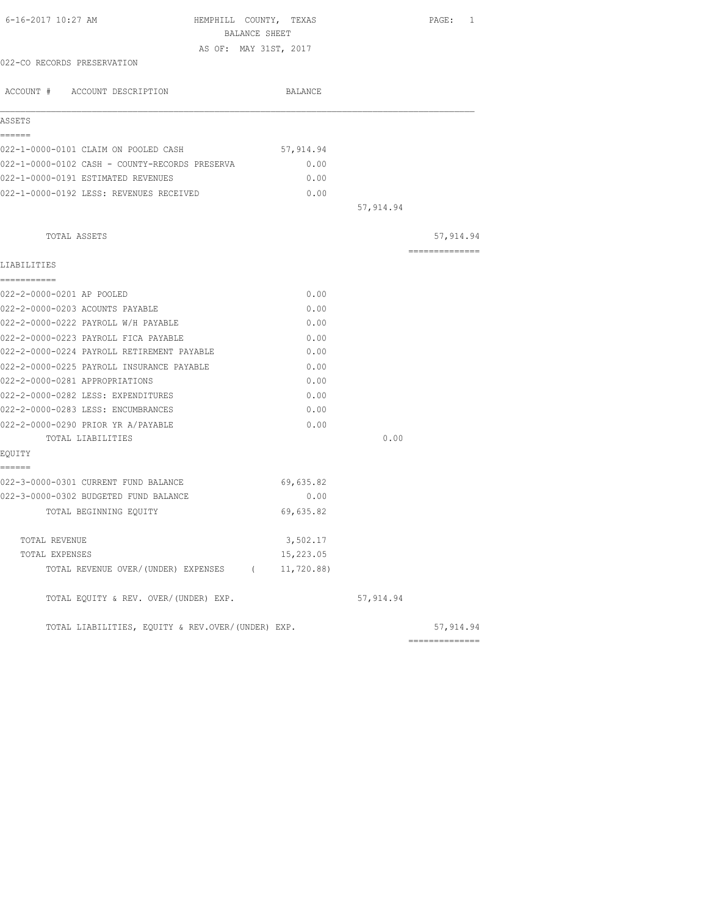| 6-16-2017 10:27 AM                                | HEMPHILL COUNTY, TEXAS<br>BALANCE SHEET |            | PAGE: 1        |
|---------------------------------------------------|-----------------------------------------|------------|----------------|
|                                                   | AS OF: MAY 31ST, 2017                   |            |                |
| 022-CO RECORDS PRESERVATION                       |                                         |            |                |
| ACCOUNT # ACCOUNT DESCRIPTION                     | BALANCE                                 |            |                |
| ASSETS                                            |                                         |            |                |
| ======<br>022-1-0000-0101 CLAIM ON POOLED CASH    | 57,914.94                               |            |                |
| 022-1-0000-0102 CASH - COUNTY-RECORDS PRESERVA    | 0.00                                    |            |                |
| 022-1-0000-0191 ESTIMATED REVENUES                | 0.00                                    |            |                |
| 022-1-0000-0192 LESS: REVENUES RECEIVED           | 0.00                                    |            |                |
|                                                   |                                         | 57,914.94  |                |
| TOTAL ASSETS                                      |                                         |            | 57,914.94      |
| LIABILITIES                                       |                                         |            | ============== |
| ------------                                      |                                         |            |                |
| 022-2-0000-0201 AP POOLED                         | 0.00                                    |            |                |
| 022-2-0000-0203 ACOUNTS PAYABLE                   | 0.00                                    |            |                |
| 022-2-0000-0222 PAYROLL W/H PAYABLE               | 0.00                                    |            |                |
| 022-2-0000-0223 PAYROLL FICA PAYABLE              | 0.00                                    |            |                |
| 022-2-0000-0224 PAYROLL RETIREMENT PAYABLE        | 0.00                                    |            |                |
| 022-2-0000-0225 PAYROLL INSURANCE PAYABLE         | 0.00                                    |            |                |
| 022-2-0000-0281 APPROPRIATIONS                    | 0.00                                    |            |                |
| 022-2-0000-0282 LESS: EXPENDITURES                | 0.00                                    |            |                |
| 022-2-0000-0283 LESS: ENCUMBRANCES                | 0.00                                    |            |                |
| 022-2-0000-0290 PRIOR YR A/PAYABLE                | 0.00                                    |            |                |
| TOTAL LIABILITIES                                 |                                         | 0.00       |                |
| EQUITY<br>======                                  |                                         |            |                |
| 022-3-0000-0301 CURRENT FUND BALANCE              | 69,635.82                               |            |                |
| 022-3-0000-0302 BUDGETED FUND BALANCE             | 0.00                                    |            |                |
| TOTAL BEGINNING EOUITY                            | 69,635.82                               |            |                |
| TOTAL REVENUE                                     | 3,502.17                                |            |                |
| TOTAL EXPENSES                                    | 15,223.05                               |            |                |
| TOTAL REVENUE OVER/(UNDER) EXPENSES (             | 11,720.88                               |            |                |
| TOTAL EQUITY & REV. OVER/(UNDER) EXP.             |                                         | 57, 914.94 |                |
| TOTAL LIABILITIES, EQUITY & REV.OVER/(UNDER) EXP. |                                         |            | 57, 914.94     |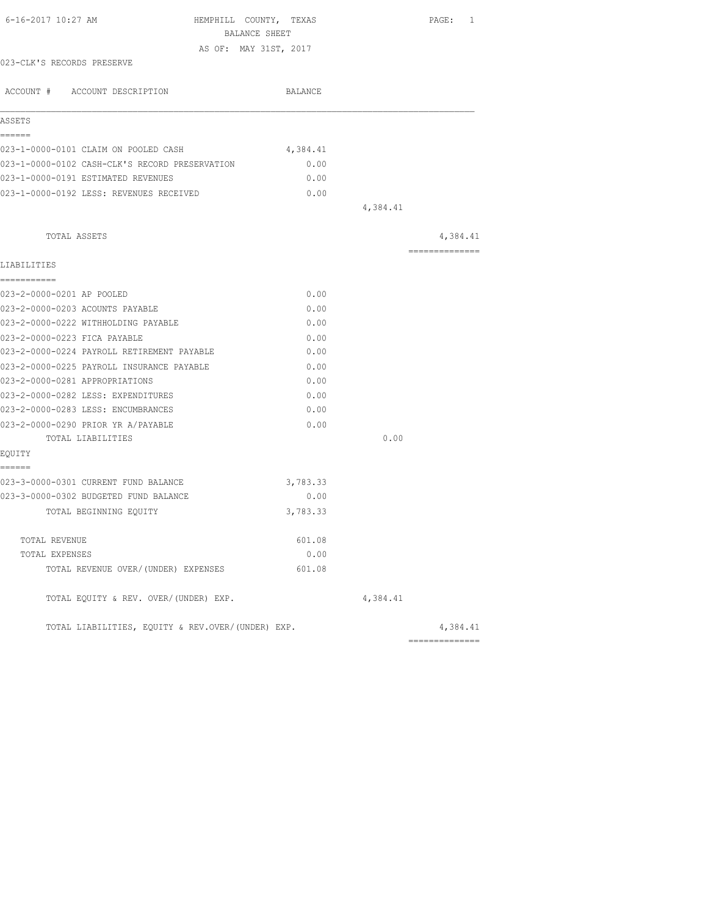| 6-16-2017 10:27 AM                                                          | HEMPHILL COUNTY, TEXAS<br>BALANCE SHEET |          | PAGE: 1        |
|-----------------------------------------------------------------------------|-----------------------------------------|----------|----------------|
|                                                                             | AS OF: MAY 31ST, 2017                   |          |                |
| 023-CLK'S RECORDS PRESERVE                                                  |                                         |          |                |
| ACCOUNT # ACCOUNT DESCRIPTION                                               | BALANCE                                 |          |                |
| ASSETS                                                                      |                                         |          |                |
| ======                                                                      |                                         |          |                |
| 023-1-0000-0101 CLAIM ON POOLED CASH                                        | 4,384.41                                |          |                |
| 023-1-0000-0102 CASH-CLK'S RECORD PRESERVATION                              | 0.00                                    |          |                |
| 023-1-0000-0191 ESTIMATED REVENUES                                          | 0.00                                    |          |                |
| 023-1-0000-0192 LESS: REVENUES RECEIVED                                     | 0.00                                    |          |                |
|                                                                             |                                         | 4,384.41 |                |
| TOTAL ASSETS                                                                |                                         |          | 4,384.41       |
|                                                                             |                                         |          | -------------- |
| LIABILITIES                                                                 |                                         |          |                |
| -----------<br>023-2-0000-0201 AP POOLED                                    | 0.00                                    |          |                |
|                                                                             |                                         |          |                |
| 023-2-0000-0203 ACOUNTS PAYABLE<br>023-2-0000-0222 WITHHOLDING PAYABLE      | 0.00                                    |          |                |
|                                                                             | 0.00                                    |          |                |
| 023-2-0000-0223 FICA PAYABLE<br>023-2-0000-0224 PAYROLL RETIREMENT PAYABLE  | 0.00<br>0.00                            |          |                |
|                                                                             |                                         |          |                |
| 023-2-0000-0225 PAYROLL INSURANCE PAYABLE<br>023-2-0000-0281 APPROPRIATIONS | 0.00<br>0.00                            |          |                |
| 023-2-0000-0282 LESS: EXPENDITURES                                          | 0.00                                    |          |                |
| 023-2-0000-0283 LESS: ENCUMBRANCES                                          | 0.00                                    |          |                |
| 023-2-0000-0290 PRIOR YR A/PAYABLE                                          | 0.00                                    |          |                |
| TOTAL LIABILITIES                                                           |                                         | 0.00     |                |
| EQUITY                                                                      |                                         |          |                |
| ======                                                                      |                                         |          |                |
| 023-3-0000-0301 CURRENT FUND BALANCE                                        | 3,783.33                                |          |                |
| 023-3-0000-0302 BUDGETED FUND BALANCE                                       | 0.00                                    |          |                |
| TOTAL BEGINNING EQUITY                                                      | 3,783.33                                |          |                |
|                                                                             |                                         |          |                |
| TOTAL REVENUE                                                               | 601.08                                  |          |                |
| TOTAL EXPENSES                                                              | 0.00                                    |          |                |
| TOTAL REVENUE OVER/(UNDER) EXPENSES                                         | 601.08                                  |          |                |
| TOTAL EQUITY & REV. OVER/(UNDER) EXP.                                       |                                         | 4,384.41 |                |
| TOTAL LIABILITIES, EQUITY & REV.OVER/(UNDER) EXP.                           |                                         |          | 4,384.41       |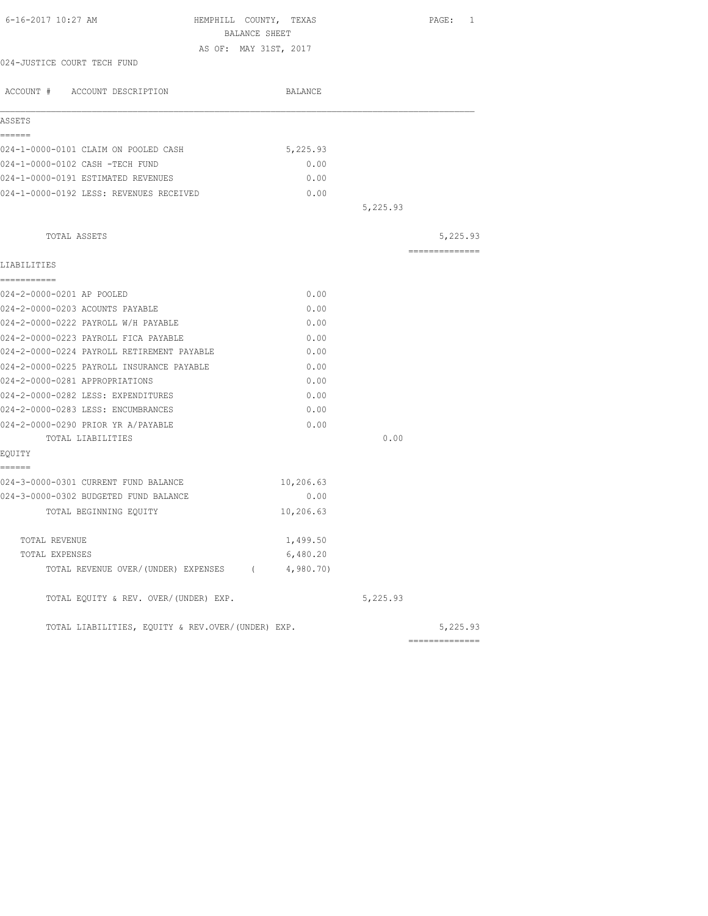| 6-16-2017 10:27 AM<br>HEMPHILL COUNTY, TEXAS      | BALANCE SHEET |          | PAGE: 1        |
|---------------------------------------------------|---------------|----------|----------------|
| AS OF: MAY 31ST, 2017                             |               |          |                |
| 024-JUSTICE COURT TECH FUND                       |               |          |                |
| ACCOUNT # ACCOUNT DESCRIPTION                     | BALANCE       |          |                |
|                                                   |               |          |                |
| ASSETS                                            |               |          |                |
| ======                                            |               |          |                |
| 024-1-0000-0101 CLAIM ON POOLED CASH              | 5,225.93      |          |                |
| 024-1-0000-0102 CASH -TECH FUND                   | 0.00          |          |                |
| 024-1-0000-0191 ESTIMATED REVENUES                | 0.00          |          |                |
| 024-1-0000-0192 LESS: REVENUES RECEIVED           | 0.00          |          |                |
|                                                   |               | 5,225.93 |                |
| TOTAL ASSETS                                      |               |          | 5,225.93       |
|                                                   |               |          | -------------- |
| LIABILITIES                                       |               |          |                |
| ===========                                       |               |          |                |
| 024-2-0000-0201 AP POOLED                         | 0.00          |          |                |
| 024-2-0000-0203 ACOUNTS PAYABLE                   | 0.00          |          |                |
| 024-2-0000-0222 PAYROLL W/H PAYABLE               | 0.00          |          |                |
| 024-2-0000-0223 PAYROLL FICA PAYABLE              | 0.00          |          |                |
| 024-2-0000-0224 PAYROLL RETIREMENT PAYABLE        | 0.00          |          |                |
| 024-2-0000-0225 PAYROLL INSURANCE PAYABLE         | 0.00          |          |                |
| 024-2-0000-0281 APPROPRIATIONS                    | 0.00          |          |                |
| 024-2-0000-0282 LESS: EXPENDITURES                | 0.00          |          |                |
| 024-2-0000-0283 LESS: ENCUMBRANCES                | 0.00          |          |                |
| 024-2-0000-0290 PRIOR YR A/PAYABLE                | 0.00          |          |                |
| TOTAL LIABILITIES                                 |               | 0.00     |                |
| EQUITY                                            |               |          |                |
| ------                                            |               |          |                |
| 024-3-0000-0301 CURRENT FUND BALANCE              | 10,206.63     |          |                |
| 024-3-0000-0302 BUDGETED FUND BALANCE             | 0.00          |          |                |
| TOTAL BEGINNING EQUITY                            | 10,206.63     |          |                |
| TOTAL REVENUE                                     | 1,499.50      |          |                |
| TOTAL EXPENSES                                    | 6,480.20      |          |                |
| TOTAL REVENUE OVER/(UNDER) EXPENSES (4,980.70)    |               |          |                |
| TOTAL EQUITY & REV. OVER/(UNDER) EXP.             |               | 5,225.93 |                |
| TOTAL LIABILITIES, EQUITY & REV.OVER/(UNDER) EXP. |               |          | 5,225.93       |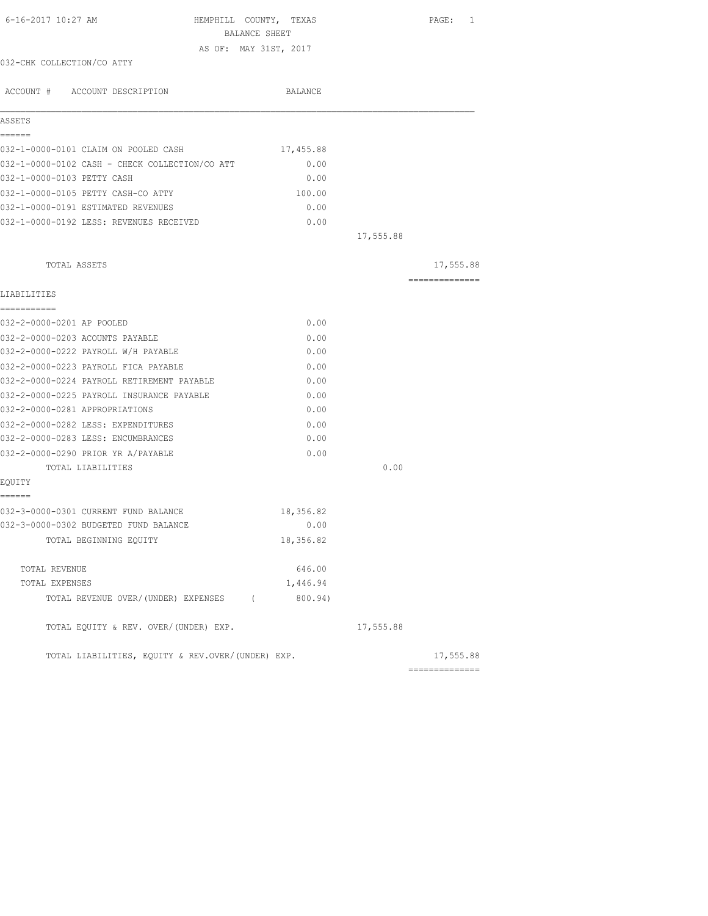| 6-16-2017 10:27 AM                                | HEMPHILL COUNTY, TEXAS<br>BALANCE SHEET |           |           | PAGE: 1                     |
|---------------------------------------------------|-----------------------------------------|-----------|-----------|-----------------------------|
|                                                   | AS OF: MAY 31ST, 2017                   |           |           |                             |
| 032-CHK COLLECTION/CO ATTY                        |                                         |           |           |                             |
| ACCOUNT # ACCOUNT DESCRIPTION                     |                                         | BALANCE   |           |                             |
| ASSETS                                            |                                         |           |           |                             |
| ------                                            |                                         |           |           |                             |
| 032-1-0000-0101 CLAIM ON POOLED CASH              |                                         | 17,455.88 |           |                             |
| 032-1-0000-0102 CASH - CHECK COLLECTION/CO ATT    |                                         | 0.00      |           |                             |
| 032-1-0000-0103 PETTY CASH                        |                                         | 0.00      |           |                             |
| 032-1-0000-0105 PETTY CASH-CO ATTY                |                                         | 100.00    |           |                             |
| 032-1-0000-0191 ESTIMATED REVENUES                |                                         | 0.00      |           |                             |
| 032-1-0000-0192 LESS: REVENUES RECEIVED           |                                         | 0.00      |           |                             |
|                                                   |                                         |           | 17,555.88 |                             |
|                                                   |                                         |           |           |                             |
| TOTAL ASSETS                                      |                                         |           |           | 17,555.88<br>-------------- |
| LIABILITIES                                       |                                         |           |           |                             |
| -----------<br>032-2-0000-0201 AP POOLED          |                                         | 0.00      |           |                             |
| 032-2-0000-0203 ACOUNTS PAYABLE                   |                                         | 0.00      |           |                             |
| 032-2-0000-0222 PAYROLL W/H PAYABLE               |                                         | 0.00      |           |                             |
| 032-2-0000-0223 PAYROLL FICA PAYABLE              |                                         | 0.00      |           |                             |
| 032-2-0000-0224 PAYROLL RETIREMENT PAYABLE        |                                         | 0.00      |           |                             |
| 032-2-0000-0225 PAYROLL INSURANCE PAYABLE         |                                         | 0.00      |           |                             |
| 032-2-0000-0281 APPROPRIATIONS                    |                                         | 0.00      |           |                             |
| 032-2-0000-0282 LESS: EXPENDITURES                |                                         | 0.00      |           |                             |
| 032-2-0000-0283 LESS: ENCUMBRANCES                |                                         | 0.00      |           |                             |
| 032-2-0000-0290 PRIOR YR A/PAYABLE                |                                         | 0.00      |           |                             |
| TOTAL LIABILITIES                                 |                                         |           | 0.00      |                             |
| EQUITY                                            |                                         |           |           |                             |
| ======                                            |                                         |           |           |                             |
| 032-3-0000-0301 CURRENT FUND BALANCE              |                                         | 18,356.82 |           |                             |
| 032-3-0000-0302 BUDGETED FUND BALANCE             |                                         | 0.00      |           |                             |
| TOTAL BEGINNING EQUITY                            |                                         | 18,356.82 |           |                             |
| TOTAL REVENUE                                     |                                         | 646.00    |           |                             |
| TOTAL EXPENSES                                    |                                         | 1,446.94  |           |                             |
| TOTAL REVENUE OVER/(UNDER) EXPENSES (             |                                         | 800.94)   |           |                             |
| TOTAL EQUITY & REV. OVER/(UNDER) EXP.             |                                         |           | 17,555.88 |                             |
| TOTAL LIABILITIES, EQUITY & REV.OVER/(UNDER) EXP. |                                         |           |           | 17,555.88                   |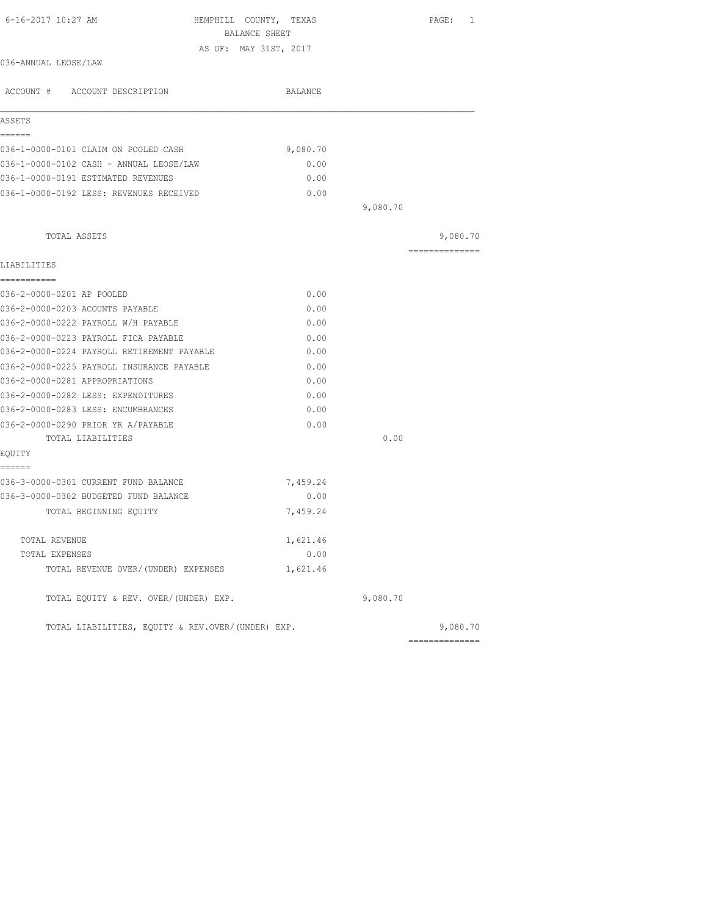| 6-16-2017 10:27 AM                                | HEMPHILL COUNTY, TEXAS<br>BALANCE SHEET |          | PAGE: 1         |
|---------------------------------------------------|-----------------------------------------|----------|-----------------|
|                                                   | AS OF: MAY 31ST, 2017                   |          |                 |
| 036-ANNUAL LEOSE/LAW                              |                                         |          |                 |
| ACCOUNT # ACCOUNT DESCRIPTION                     | BALANCE                                 |          |                 |
| ASSETS                                            |                                         |          |                 |
| ======<br>036-1-0000-0101 CLAIM ON POOLED CASH    | 9,080.70                                |          |                 |
| 036-1-0000-0102 CASH - ANNUAL LEOSE/LAW           | 0.00                                    |          |                 |
| 036-1-0000-0191 ESTIMATED REVENUES                | 0.00                                    |          |                 |
| 036-1-0000-0192 LESS: REVENUES RECEIVED           | 0.00                                    |          |                 |
|                                                   |                                         | 9,080.70 |                 |
|                                                   |                                         |          |                 |
| TOTAL ASSETS                                      |                                         |          | 9,080.70        |
| LIABILITIES                                       |                                         |          | --------------- |
| -----------                                       |                                         |          |                 |
| 036-2-0000-0201 AP POOLED                         | 0.00                                    |          |                 |
| 036-2-0000-0203 ACOUNTS PAYABLE                   | 0.00                                    |          |                 |
| 036-2-0000-0222 PAYROLL W/H PAYABLE               | 0.00                                    |          |                 |
| 036-2-0000-0223 PAYROLL FICA PAYABLE              | 0.00                                    |          |                 |
| 036-2-0000-0224 PAYROLL RETIREMENT PAYABLE        | 0.00                                    |          |                 |
| 036-2-0000-0225 PAYROLL INSURANCE PAYABLE         | 0.00                                    |          |                 |
| 036-2-0000-0281 APPROPRIATIONS                    | 0.00                                    |          |                 |
| 036-2-0000-0282 LESS: EXPENDITURES                | 0.00                                    |          |                 |
| 036-2-0000-0283 LESS: ENCUMBRANCES                | 0.00                                    |          |                 |
| 036-2-0000-0290 PRIOR YR A/PAYABLE                | 0.00                                    |          |                 |
| TOTAL LIABILITIES                                 |                                         | 0.00     |                 |
| EQUITY<br>======                                  |                                         |          |                 |
| 036-3-0000-0301 CURRENT FUND BALANCE              | 7,459.24                                |          |                 |
| 036-3-0000-0302 BUDGETED FUND BALANCE             | 0.00                                    |          |                 |
| TOTAL BEGINNING EQUITY                            | 7,459.24                                |          |                 |
| TOTAL REVENUE                                     | 1,621.46                                |          |                 |
| TOTAL EXPENSES                                    | 0.00                                    |          |                 |
| TOTAL REVENUE OVER/(UNDER) EXPENSES               | 1,621.46                                |          |                 |
| TOTAL EQUITY & REV. OVER/(UNDER) EXP.             |                                         | 9,080.70 |                 |
| TOTAL LIABILITIES, EOUITY & REV.OVER/(UNDER) EXP. |                                         |          | 9,080.70        |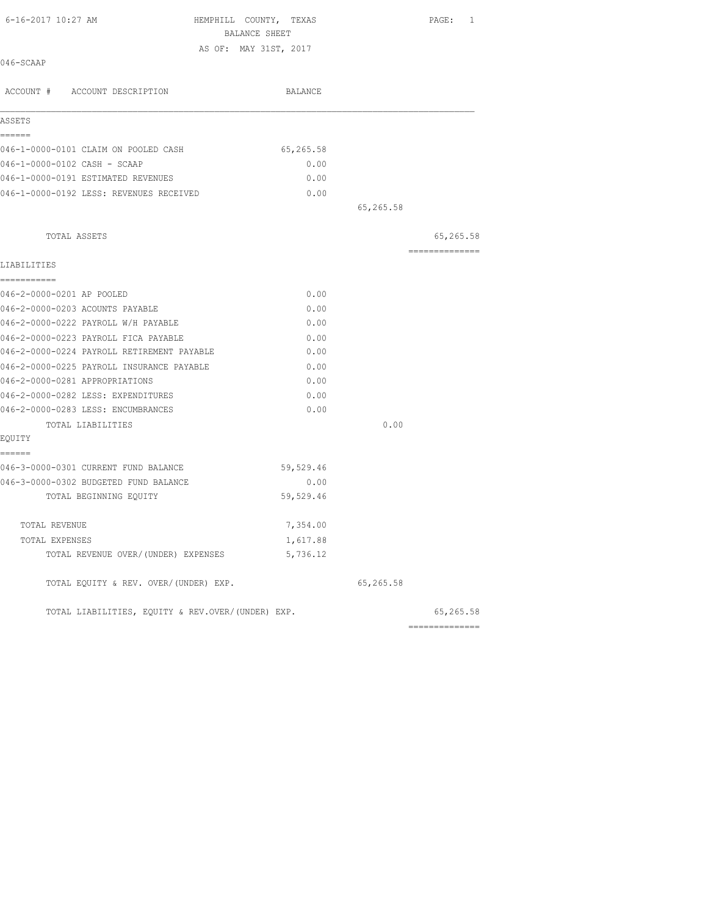| 6-16-2017 10:27 AM                                | HEMPHILL COUNTY, TEXAS | BALANCE SHEET |           | PAGE: 1   |
|---------------------------------------------------|------------------------|---------------|-----------|-----------|
|                                                   | AS OF: MAY 31ST, 2017  |               |           |           |
| 046-SCAAP                                         |                        |               |           |           |
| ACCOUNT # ACCOUNT DESCRIPTION                     |                        | BALANCE       |           |           |
| ASSETS                                            |                        |               |           |           |
| ------<br>046-1-0000-0101 CLAIM ON POOLED CASH    |                        | 65,265.58     |           |           |
| 046-1-0000-0102 CASH - SCAAP                      |                        | 0.00          |           |           |
| 046-1-0000-0191 ESTIMATED REVENUES                |                        | 0.00          |           |           |
| 046-1-0000-0192 LESS: REVENUES RECEIVED           |                        | 0.00          |           |           |
|                                                   |                        |               | 65,265.58 |           |
| TOTAL ASSETS                                      |                        |               |           | 65,265.58 |
| LIABILITIES                                       |                        |               |           |           |
| ===========<br>046-2-0000-0201 AP POOLED          |                        | 0.00          |           |           |
| 046-2-0000-0203 ACOUNTS PAYABLE                   |                        | 0.00          |           |           |
| 046-2-0000-0222 PAYROLL W/H PAYABLE               |                        | 0.00          |           |           |
| 046-2-0000-0223 PAYROLL FICA PAYABLE              |                        | 0.00          |           |           |
| 046-2-0000-0224 PAYROLL RETIREMENT PAYABLE        |                        | 0.00          |           |           |
| 046-2-0000-0225 PAYROLL INSURANCE PAYABLE         |                        | 0.00          |           |           |
| 046-2-0000-0281 APPROPRIATIONS                    |                        | 0.00          |           |           |
| 046-2-0000-0282 LESS: EXPENDITURES                |                        | 0.00          |           |           |
| 046-2-0000-0283 LESS: ENCUMBRANCES                |                        | 0.00          |           |           |
| TOTAL LIABILITIES                                 |                        |               | 0.00      |           |
| EQUITY                                            |                        |               |           |           |
| ======<br>046-3-0000-0301 CURRENT FUND BALANCE    |                        | 59,529.46     |           |           |
| 046-3-0000-0302 BUDGETED FUND BALANCE             |                        | 0.00          |           |           |
| TOTAL BEGINNING EOUITY                            |                        | 59,529.46     |           |           |
| TOTAL REVENUE                                     |                        | 7,354.00      |           |           |
| TOTAL EXPENSES                                    |                        | 1,617.88      |           |           |
| TOTAL REVENUE OVER/(UNDER) EXPENSES               |                        | 5,736.12      |           |           |
| TOTAL EQUITY & REV. OVER/(UNDER) EXP.             |                        |               | 65,265.58 |           |
| TOTAL LIABILITIES, EOUITY & REV.OVER/(UNDER) EXP. |                        |               |           | 65,265.58 |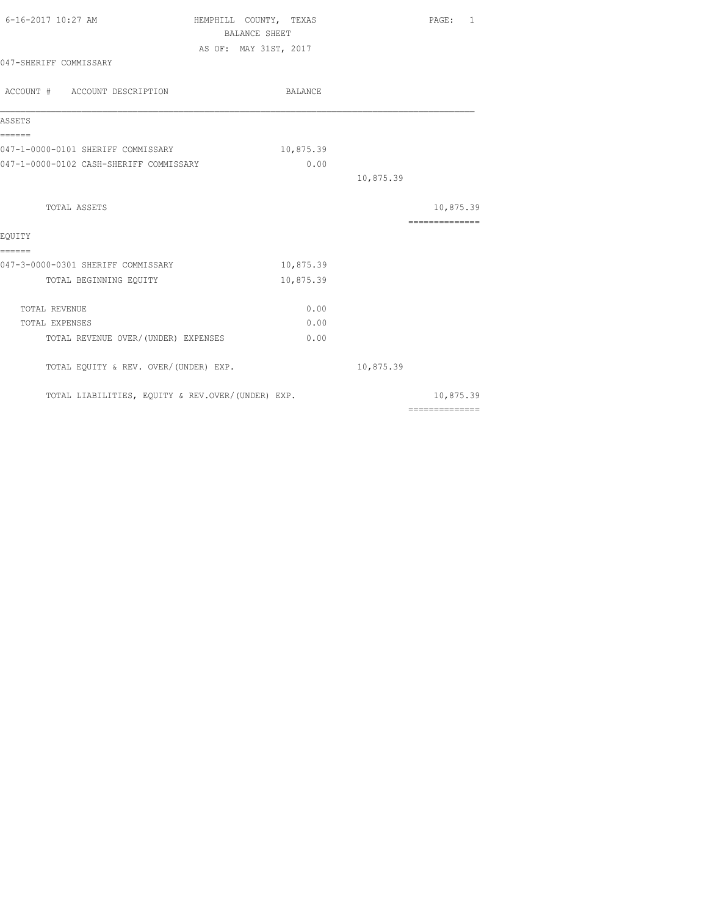| BALANCE        |
|----------------|
|                |
| 10,875.39      |
| 0.00           |
| 10,875.39      |
| 10,875.39      |
| ============== |
|                |
| 10,875.39      |
| 10,875.39      |
| 0.00           |
| 0.00           |
| 0.00           |
| 10,875.39      |
| 10,875.39      |
|                |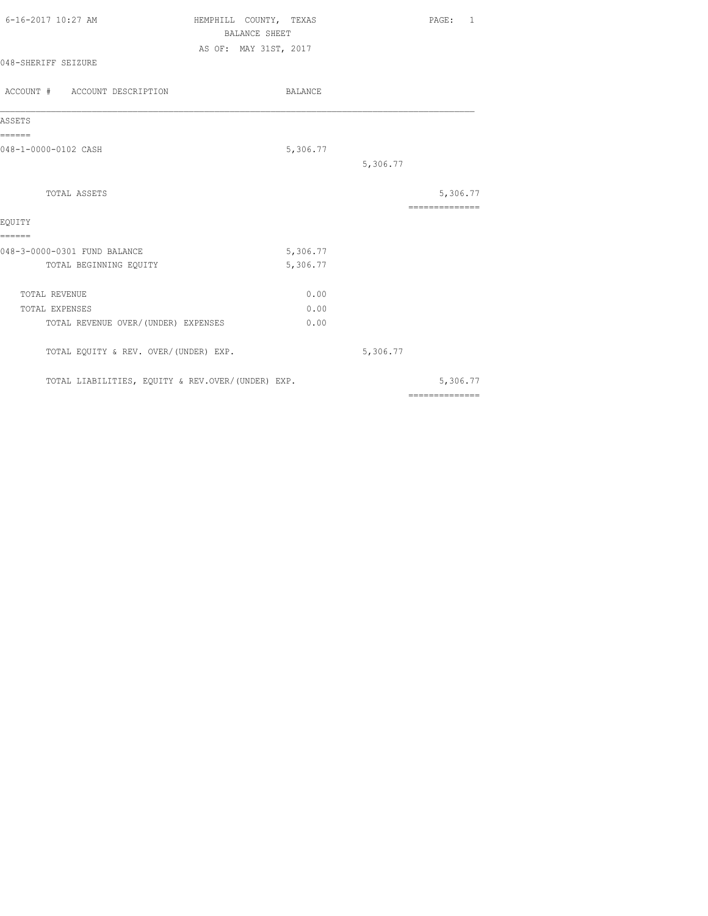| 6-16-2017 10:27 AM  | HEMPHILL COUNTY, TEXAS | PAGE: 1 |
|---------------------|------------------------|---------|
|                     | BALANCE SHEET          |         |
|                     | AS OF: MAY 31ST, 2017  |         |
| 048-SHERIFF SEIZURE |                        |         |

| ACCOUNT # ACCOUNT DESCRIPTION                     | BALANCE  |          |                |
|---------------------------------------------------|----------|----------|----------------|
| ASSETS                                            |          |          |                |
| ======                                            |          |          |                |
| 048-1-0000-0102 CASH                              | 5,306.77 |          |                |
|                                                   |          | 5,306.77 |                |
| TOTAL ASSETS                                      |          |          | 5,306.77       |
|                                                   |          |          | ============== |
| EQUITY                                            |          |          |                |
| ======                                            |          |          |                |
| 048-3-0000-0301 FUND BALANCE                      | 5,306.77 |          |                |
| TOTAL BEGINNING EQUITY                            | 5,306.77 |          |                |
| TOTAL REVENUE                                     | 0.00     |          |                |
| TOTAL EXPENSES                                    | 0.00     |          |                |
| TOTAL REVENUE OVER/ (UNDER) EXPENSES              | 0.00     |          |                |
| TOTAL EQUITY & REV. OVER/(UNDER) EXP.             |          | 5,306.77 |                |
| TOTAL LIABILITIES, EQUITY & REV.OVER/(UNDER) EXP. |          |          | 5,306.77       |
|                                                   |          |          | ============== |